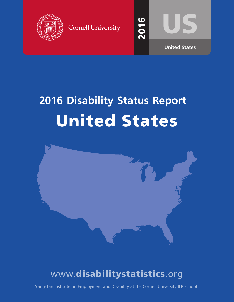

**Cornell University** 



201

6

# **2016 Disability Status Report** United States



## www.disabilitystatistics.org

Yang-Tan Institute on Employment and Disability at the Cornell University ILR School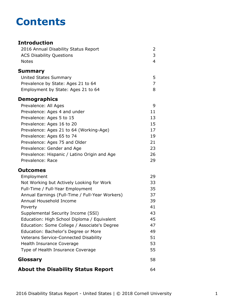## **Contents**

#### **Introduction** [2016 Annual Disability Status Report](#page-2-0) 2 [ACS Disability Questions](#page-3-0) 3 [Notes](#page-4-0) 4 **[Summary](#page-5-0)** [United States Summary](#page-5-0) 5 [Prevalence by State: Ages 21 to 64](#page-7-0) 7 [Employment by State: Ages 21 to 64](#page-8-0) 8 **Demographics** [Prevalence: All Ages](#page-9-0) 9 [Prevalence: Ages 4 and under](#page-11-0) 11 [Prevalence: Ages 5 to 15](#page-13-0) 13 [Prevalence: Ages 16 to 20](#page-15-0) 15 [Prevalence: Ages 21 to 64 \(Working-Age\)](#page-17-0) 17 [Prevalence: Ages 65 to 74](#page-19-0) 19 [Prevalence: Ages 75 and Older](#page-21-0) 21 [Prevalence: Gender and Age](#page-23-0) 23 [Prevalence: Hispanic / Latino Origin and Age](#page-26-0) 26 [Prevalence: Race](#page-29-0) 29 **Outcomes** [Employment](#page-31-0) 29 [Not Working but Actively Looking for Work](#page-33-0) 33 [Full-Time / Full-Year Employment](#page-35-0) 35 [Annual Earnings \(Full-Time / Full-Year Workers\)](#page-37-0) 37 [Annual Household Income](#page-39-0) 39 [Poverty](#page-41-0) 41 [Supplemental Security Income \(SSI\)](#page-43-0) 43 [Education: High School Diploma / Equivalent](#page-45-0) 45 [Education: Some College / Associate's Degree](#page-47-0) 47 [Education: Bachelor's Degree or More](#page-49-0) **1988** [Veterans Service-Connected Disability](#page-51-0) 51 [Health Insurance Coverage](#page-53-0) 63 and 53 [Type of Health Insurance Coverage](#page-55-0) 55 **[Glossary](#page-58-0)** 58 **[About the Disability Status Report](#page-64-0)** 64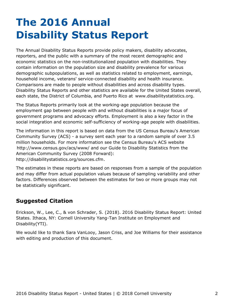## <span id="page-2-0"></span>**The 2016 Annual Disability Status Report**

The Annual Disability Status Reports provide policy makers, disability advocates, reporters, and the public with a summary of the most recent demographic and economic statistics on the non-institutionalized population with disabilities. They contain information on the population size and disability prevalence for various demographic subpopulations, as well as statistics related to employment, earnings, household income, veterans' service-connected disability and health insurance. Comparisons are made to people without disabilities and across disability types. Disability Status Reports and other statistics are available for the United States overall, each state, the District of Columbia, and Puerto Rico at [www.disabilitystatistics.org](http://www.disabilitystatistics.org).

The Status Reports primarily look at the working-age population because the employment gap between people with and without disabilities is a major focus of government programs and advocacy efforts. Employment is also a key factor in the social integration and economic self-sufficiency of working-age people with disabilities.

The information in this report is based on data from the US Census Bureau's American Community Survey (ACS) - a survey sent each year to a random sample of over 3.5 million households. For more information see the Census Bureau's ACS website <http://www.census.gov/acs/www/> and our Guide to Disability Statistics from the American Community Survey (2008 Forward): <http://disabilitystatistics.org/sources.cfm>.

The estimates in these reports are based on responses from a sample of the population and may differ from actual population values because of sampling variability and other factors. Differences observed between the estimates for two or more groups may not be statistically significant.

### **Suggested Citation**

Erickson, W., Lee, C., & von Schrader, S. (2018). 2016 Disability Status Report: United States. Ithaca, NY: Cornell University Yang-Tan Institute on Employment and Disability(YTI).

We would like to thank Sara VanLooy, Jason Criss, and Joe Williams for their assistance with editing and production of this document.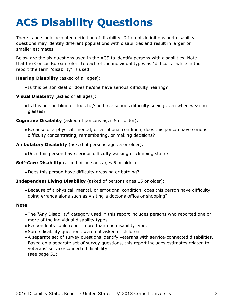# <span id="page-3-0"></span>**ACS Disability Questions**

There is no single accepted definition of disability. Different definitions and disability questions may identify different populations with disabilities and result in larger or smaller estimates.

Below are the six questions used in the ACS to identify persons with disabilities. Note that the Census Bureau refers to each of the individual types as "difficulty" while in this report the term "disability" is used.

**Hearing Disability** (asked of all ages):

Is this person deaf or does he/she have serious difficulty hearing?

**Visual Disability** (asked of all ages):

Is this person blind or does he/she have serious difficulty seeing even when wearing glasses?

**Cognitive Disability** (asked of persons ages 5 or older):

Because of a physical, mental, or emotional condition, does this person have serious difficulty concentrating, remembering, or making decisions?

**Ambulatory Disability** (asked of persons ages 5 or older):

Does this person have serious difficulty walking or climbing stairs?

**Self-Care Disability** (asked of persons ages 5 or older):

Does this person have difficulty dressing or bathing?

#### **Independent Living Disability** (asked of persons ages 15 or older):

Because of a physical, mental, or emotional condition, does this person have difficulty doing errands alone such as visiting a doctor's office or shopping?

#### **Note:**

- The "Any Disability" category used in this report includes persons who reported one or more of the individual disability types.
- Respondents could report more than one disability type.
- Some disability questions were not asked of children.
- A separate set of survey questions identify veterans with service-connected disabilities. Based on a separate set of survey questions, this report includes estimates related to veterans' service-connected disability (see page 51).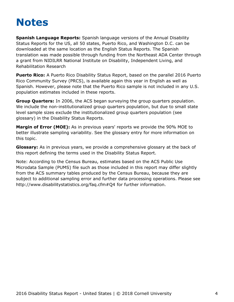## <span id="page-4-0"></span>**Notes**

**Spanish Language Reports:** Spanish language versions of the Annual Disability Status Reports for the US, all 50 states, Puerto Rico, and Washington D.C. can be downloaded at the same location as the English Status Reports. The Spanish translation was made possible through funding from the Northeast ADA Center through a grant from NIDILRR National Institute on Disability, Independent Living, and Rehabilitation Research

**Puerto Rico:** A Puerto Rico Disability Status Report, based on the parallel 2016 Puerto Rico Community Survey (PRCS), is available again this year in English as well as Spanish. However, please note that the Puerto Rico sample is not included in any U.S. population estimates included in these reports.

**Group Quarters:** In 2006, the ACS began surveying the group quarters population. We include the non-institutionalized group quarters population, but due to small state level sample sizes exclude the institutionalized group quarters population (see [glossary](#page-58-0)) in the Disability Status Reports.

**Margin of Error (MOE):** As in previous years' reports we provide the 90% MOE to better illustrate sampling variability. See the glossary entry for more information on this topic.

**Glossary:** As in previous years, we provide a comprehensive glossary at the back of this report defining the terms used in the Disability Status Report.

Note: According to the Census Bureau, estimates based on the ACS Public Use Microdata Sample (PUMS) file such as those included in this report may differ slightly from the ACS summary tables produced by the Census Bureau, because they are subject to additional sampling error and further data processing operations. Please see <http://www.disabilitystatistics.org/faq.cfm#Q4> for further information.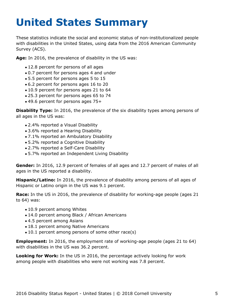# <span id="page-5-0"></span>**United States Summary**

These statistics indicate the social and economic status of non-institutionalized people with disabilities in the United States, using data from the 2016 American Community Survey (ACS).

**Age:** In 2016, the prevalence of disability in the US was:

- 12.8 percent for persons of all ages
- 0.7 percent for persons ages 4 and under
- 5.5 percent for persons ages 5 to 15
- 6.2 percent for persons ages 16 to 20
- 10.9 percent for persons ages 21 to 64
- 25.3 percent for persons ages 65 to 74
- 49.6 percent for persons ages 75+

**Disability Type:** In 2016, the prevalence of the six disability types among persons of all ages in the US was:

- 2.4% reported a Visual Disability
- 3.6% reported a Hearing Disability
- 7.1% reported an Ambulatory Disability
- 5.2% reported a Cognitive Disability
- 2.7% reported a Self-Care Disability
- 5.7% reported an Independent Living Disability

**Gender:** In 2016, 12.9 percent of females of all ages and 12.7 percent of males of all ages in the US reported a disability.

**Hispanic/Latino:** In 2016, the prevalence of disability among persons of all ages of Hispanic or Latino origin in the US was 9.1 percent.

**Race:** In the US in 2016, the prevalence of disability for working-age people (ages 21 to 64) was:

- 10.9 percent among Whites
- 14.0 percent among Black / African Americans
- 4.5 percent among Asians
- 18.1 percent among Native Americans
- 10.1 percent among persons of some other race(s)

**Employment:** In 2016, the employment rate of working-age people (ages 21 to 64) with disabilities in the US was 36.2 percent.

**Looking for Work:** In the US in 2016, the percentage actively looking for work among people with disabilities who were not working was 7.8 percent.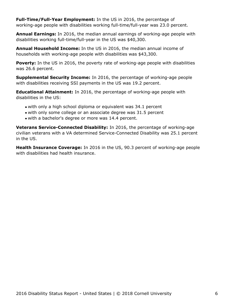**Full-Time/Full-Year Employment:** In the US in 2016, the percentage of working-age people with disabilities working full-time/full-year was 23.0 percent.

**Annual Earnings:** In 2016, the median annual earnings of working-age people with disabilities working full-time/full-year in the US was \$40,300.

**Annual Household Income:** In the US in 2016, the median annual income of households with working-age people with disabilities was \$43,300.

**Poverty:** In the US in 2016, the poverty rate of working-age people with disabilities was 26.6 percent.

**Supplemental Security Income:** In 2016, the percentage of working-age people with disabilities receiving SSI payments in the US was 19.2 percent.

**Educational Attainment:** In 2016, the percentage of working-age people with disabilities in the US:

- with only a high school diploma or equivalent was 34.1 percent
- with only some college or an associate degree was 31.5 percent
- with a bachelor's degree or more was 14.4 percent.

**Veterans Service-Connected Disability:** In 2016, the percentage of working-age civilian veterans with a VA determined Service-Connected Disability was 25.1 percent in the US.

**Health Insurance Coverage:** In 2016 in the US, 90.3 percent of working-age people with disabilities had health insurance.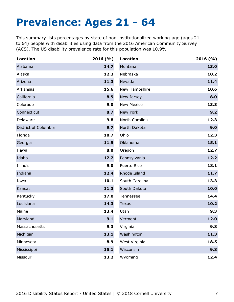## <span id="page-7-0"></span>**Prevalence: Ages 21 - 64**

This summary lists percentages by state of non-institutionalized working-age (ages 21 to 64) people with disabilities using data from the 2016 American Community Survey (ACS). The US disability prevalence rate for this population was 10.9%

| <b>Location</b>      | 2016(%) | <b>Location</b>   | 2016(%) |
|----------------------|---------|-------------------|---------|
| Alabama              | 14.7    | Montana           | 13.0    |
| Alaska               | 12.3    | Nebraska          | 10.2    |
| Arizona              | 11.3    | Nevada            | 11.4    |
| Arkansas             | 15.6    | New Hampshire     | 10.6    |
| California           | 8.5     | New Jersey        | 8.0     |
| Colorado             | 9.0     | <b>New Mexico</b> | 13.3    |
| Connecticut          | 8.7     | New York          | 9.2     |
| Delaware             | 9.8     | North Carolina    | 12.3    |
| District of Columbia | 9.7     | North Dakota      | 9.0     |
| Florida              | 10.7    | Ohio              | 12.3    |
| Georgia              | 11.5    | Oklahoma          | 15.1    |
| Hawaii               | 8.0     | Oregon            | 12.7    |
| Idaho                | 12.2    | Pennsylvania      | 12.2    |
| Illinois             | 9.0     | Puerto Rico       | 18.1    |
| Indiana              | 12.4    | Rhode Island      | 11.7    |
| Iowa                 | 10.1    | South Carolina    | 13.3    |
| Kansas               | 11.3    | South Dakota      | 10.0    |
| Kentucky             | 17.0    | Tennessee         | 14.4    |
| Louisiana            | 14.3    | <b>Texas</b>      | 10.2    |
| Maine                | 13.4    | Utah              | 9.3     |
| Maryland             | 9.1     | Vermont           | 12.0    |
| Massachusetts        | 9.3     | Virginia          | 9.8     |
| Michigan             | 13.1    | Washington        | 11.3    |
| Minnesota            | 8.9     | West Virginia     | 18.5    |
| Mississippi          | 15.1    | Wisconsin         | 9.8     |
| Missouri             | 13.2    | Wyoming           | 12.4    |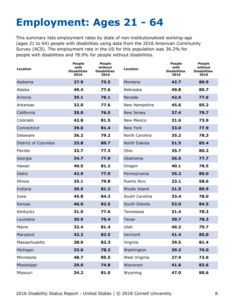# <span id="page-8-0"></span>**Employment: Ages 21 - 64**

This summary lists employment rates by state of non-institutionalized working-age (ages 21 to 64) people with disabilities using data from the 2016 American Community Survey (ACS). The employment rate in the US for this population was 36.2% for people with disabilities and 78.9% for people without disabilities.

| Location             | <b>People</b><br>with<br><b>Disabilities</b><br>2016 | <b>People</b><br>without<br><b>Disabilities</b><br>2016 | <b>Location</b>   | <b>People</b><br>with<br><b>Disabilities</b><br>2016 | <b>People</b><br>without<br><b>Disabilities</b><br>2016 |
|----------------------|------------------------------------------------------|---------------------------------------------------------|-------------------|------------------------------------------------------|---------------------------------------------------------|
| Alabama              | 27.9                                                 | 75.5                                                    | Montana           | 42.7                                                 | 80.9                                                    |
| Alaska               | 49.4                                                 | 77.6                                                    | Nebraska          | 49.8                                                 | 85.7                                                    |
| Arizona              | 35.1                                                 | 76.1                                                    | Nevada            | 42.6                                                 | 77.6                                                    |
| Arkansas             | 32.0                                                 | 77.6                                                    | New Hampshire     | 45.6                                                 | 85.2                                                    |
| California           | 35.0                                                 | 76.5                                                    | New Jersey        | 37.4                                                 | 79.7                                                    |
| Colorado             | 42.8                                                 | 81.5                                                    | <b>New Mexico</b> | 31.6                                                 | 73.9                                                    |
| Connecticut          | 39.0                                                 | 81.4                                                    | New York          | 33.0                                                 | 77.9                                                    |
| Delaware             | 36.2                                                 | 79.2                                                    | North Carolina    | 35.2                                                 | 78.3                                                    |
| District of Columbia | 33.8                                                 | 80.7                                                    | North Dakota      | 51.5                                                 | 85.4                                                    |
| Florida              | 32.7                                                 | 77.3                                                    | Ohio              | 35.7                                                 | 80.2                                                    |
| Georgia              | 34.7                                                 | 77.9                                                    | Oklahoma          | 36.5                                                 | 77.7                                                    |
| Hawaii               | 40.5                                                 | 81.2                                                    | Oregon            | 40.1                                                 | 78.5                                                    |
| Idaho                | 42.9                                                 | 77.9                                                    | Pennsylvania      | 35.2                                                 | 80.0                                                    |
| Illinois             | 35.1                                                 | 79.8                                                    | Puerto Rico       | 23.1                                                 | 58.6                                                    |
| Indiana              | 36.9                                                 | 81.2                                                    | Rhode Island      | 31.5                                                 | 80.9                                                    |
| Iowa                 | 45.8                                                 | 84.3                                                    | South Carolina    | 33.4                                                 | 78.0                                                    |
| Kansas               | 46.0                                                 | 82.5                                                    | South Dakota      | 52.0                                                 | 84.5                                                    |
| Kentucky             | 31.0                                                 | 77.6                                                    | Tennessee         | 31.4                                                 | 78.3                                                    |
| Louisiana            | 30.9                                                 | 75.4                                                    | <b>Texas</b>      | 39.7                                                 | 78.3                                                    |
| Maine                | 32.4                                                 | 81.4                                                    | Utah              | 46.2                                                 | 79.7                                                    |
| Maryland             | 42.2                                                 | 82.5                                                    | Vermont           | 41.4                                                 | 85.0                                                    |
| Massachusetts        | 38.9                                                 | 82.3                                                    | Virginia          | 39.5                                                 | 81.4                                                    |
| Michigan             | 33.6                                                 | 78.3                                                    | Washington        | 39.2                                                 | 79.0                                                    |
| Minnesota            | 48.7                                                 | 85.5                                                    | West Virginia     | 27.9                                                 | 72.6                                                    |
| Mississippi          | 29.0                                                 | 74.8                                                    | Wisconsin         | 41.6                                                 | 83.6                                                    |
| Missouri             | 34.2                                                 | 81.0                                                    | Wyoming           | 47.0                                                 | 80.6                                                    |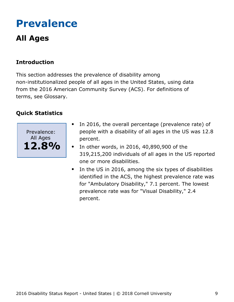## <span id="page-9-0"></span>**Prevalence**

## **All Ages**

### **Introduction**

This section addresses the prevalence of disability among non-institutionalized people of all ages in the United States, using data from the 2016 American Community Survey (ACS). For definitions of terms, see Glossary.



- In 2016, the overall percentage (prevalence rate) of people with a disability of all ages in the US was 12.8 percent.
- In other words, in 2016, 40,890,900 of the  $\bullet$ 319,215,200 individuals of all ages in the US reported one or more disabilities.
- In the US in 2016, among the six types of disabilities identified in the ACS, the highest prevalence rate was for "Ambulatory Disability," 7.1 percent. The lowest prevalence rate was for "Visual Disability," 2.4 percent.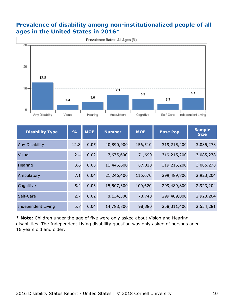#### **Prevalence of disability among non-institutionalized people of all ages in the United States in 2016\***



| <b>Disability Type</b>    | $\frac{9}{6}$ | <b>MOE</b> | <b>Number</b> | <b>MOE</b> | <b>Base Pop.</b> | <b>Sample</b><br><b>Size</b> |
|---------------------------|---------------|------------|---------------|------------|------------------|------------------------------|
| <b>Any Disability</b>     | 12.8          | 0.05       | 40,890,900    | 156,510    | 319,215,200      | 3,085,278                    |
| <b>Visual</b>             | 2.4           | 0.02       | 7,675,600     | 71,690     | 319,215,200      | 3,085,278                    |
| Hearing                   | 3.6           | 0.03       | 11,445,600    | 87,010     | 319,215,200      | 3,085,278                    |
| Ambulatory                | 7.1           | 0.04       | 21,246,400    | 116,670    | 299,489,800      | 2,923,204                    |
| Cognitive                 | 5.2           | 0.03       | 15,507,300    | 100,620    | 299,489,800      | 2,923,204                    |
| Self-Care                 | 2.7           | 0.02       | 8,134,300     | 73,740     | 299,489,800      | 2,923,204                    |
| <b>Independent Living</b> | 5.7           | 0.04       | 14,788,800    | 98,380     | 258,311,400      | 2,554,281                    |

**\* Note:** Children under the age of five were only asked about Vision and Hearing disabilities. The Independent Living disability question was only asked of persons aged 16 years old and older.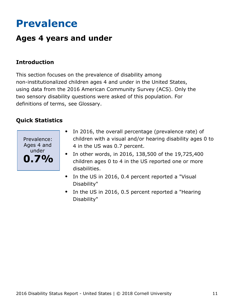## <span id="page-11-0"></span>**Prevalence**

## **Ages 4 years and under**

### **Introduction**

This section focuses on the prevalence of disability among non-institutionalized children ages 4 and under in the United States, using data from the 2016 American Community Survey (ACS). Only the two sensory disability questions were asked of this population. For definitions of terms, see Glossary.



- In 2016, the overall percentage (prevalence rate) of  $\bullet$ children with a visual and/or hearing disability ages 0 to 4 in the US was 0.7 percent.
- In other words, in 2016, 138,500 of the 19,725,400 children ages 0 to 4 in the US reported one or more disabilities.
- In the US in 2016, 0.4 percent reported a "Visual  $\bullet$ Disability"
- In the US in 2016, 0.5 percent reported a "Hearing  $\bullet$ Disability"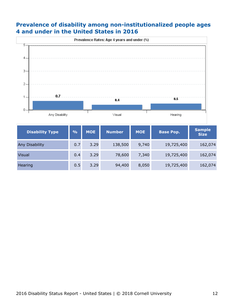#### **Prevalence of disability among non-institutionalized people ages 4 and under in the United States in 2016**



| <b>Disability Type</b> | $\frac{0}{0}$ | <b>MOE</b> | <b>Number</b> | <b>MOE</b> | <b>Base Pop.</b> | <b>Sample</b><br><b>Size</b> |
|------------------------|---------------|------------|---------------|------------|------------------|------------------------------|
| <b>Any Disability</b>  | 0.7           | 3.29       | 138,500       | 9,740      | 19,725,400       | 162,074                      |
| <b>Visual</b>          | 0.4           | 3.29       | 78,600        | 7,340      | 19,725,400       | 162,074                      |
| Hearing                | 0.5           | 3.29       | 94,400        | 8,050      | 19,725,400       | 162,074                      |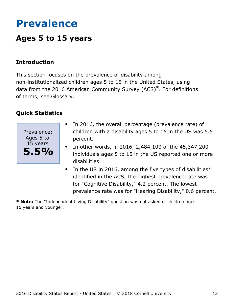## <span id="page-13-0"></span>**Prevalence**

## **Ages 5 to 15 years**

#### **Introduction**

This section focuses on the prevalence of disability among non-institutionalized children ages 5 to 15 in the United States, using data from the 2016 American Community Survey (ACS)\*. For definitions of terms, see Glossary.

#### **Quick Statistics**



- In 2016, the overall percentage (prevalence rate) of  $\bullet$ children with a disability ages 5 to 15 in the US was 5.5 percent.
- In other words, in 2016, 2,484,100 of the 45,347,200 individuals ages 5 to 15 in the US reported one or more disabilities.
- $\bullet$ In the US in 2016, among the five types of disabilities\* identified in the ACS, the highest prevalence rate was for "Cognitive Disability," 4.2 percent. The lowest prevalence rate was for "Hearing Disability," 0.6 percent.

**\* Note:** The "Independent Living Disability" question was not asked of children ages 15 years and younger.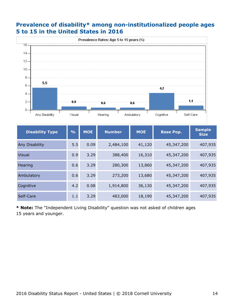#### **Prevalence of disability\* among non-institutionalized people ages 5 to 15 in the United States in 2016**



| <b>Disability Type</b> | $\frac{0}{0}$ | <b>MOE</b> | <b>Number</b> | <b>MOE</b> | <b>Base Pop.</b> | <b>Sample</b><br><b>Size</b> |
|------------------------|---------------|------------|---------------|------------|------------------|------------------------------|
| Any Disability         | 5.5           | 0.09       | 2,484,100     | 41,120     | 45,347,200       | 407,935                      |
| <b>Visual</b>          | 0.9           | 3.29       | 388,400       | 16,310     | 45,347,200       | 407,935                      |
| Hearing                | 0.6           | 3.29       | 280,300       | 13,860     | 45,347,200       | 407,935                      |
| Ambulatory             | 0.6           | 3.29       | 273,200       | 13,680     | 45,347,200       | 407,935                      |
| Cognitive              | 4.2           | 0.08       | 1,914,800     | 36,130     | 45,347,200       | 407,935                      |
| Self-Care              | 1.1           | 3.29       | 483,000       | 18,190     | 45,347,200       | 407,935                      |

**\* Note:** The "Independent Living Disability" question was not asked of children ages 15 years and younger.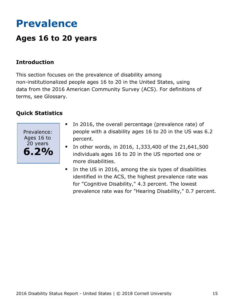## <span id="page-15-0"></span>**Prevalence**

## **Ages 16 to 20 years**

#### **Introduction**

This section focuses on the prevalence of disability among non-institutionalized people ages 16 to 20 in the United States, using data from the 2016 American Community Survey (ACS). For definitions of terms, see Glossary.



- In 2016, the overall percentage (prevalence rate) of  $\bullet$ people with a disability ages 16 to 20 in the US was 6.2 percent.
- In other words, in 2016, 1,333,400 of the 21,641,500  $\bullet$ individuals ages 16 to 20 in the US reported one or more disabilities.
- In the US in 2016, among the six types of disabilities  $\bullet$ identified in the ACS, the highest prevalence rate was for "Cognitive Disability," 4.3 percent. The lowest prevalence rate was for "Hearing Disability," 0.7 percent.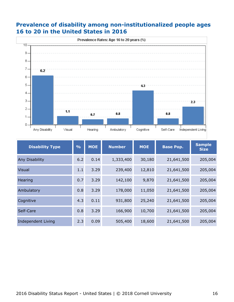#### **Prevalence of disability among non-institutionalized people ages 16 to 20 in the United States in 2016**



| <b>Disability Type</b>    | $\frac{O}{O}$ | <b>MOE</b> | <b>Number</b> | <b>MOE</b> | <b>Base Pop.</b> | <b>Sample</b><br><b>Size</b> |
|---------------------------|---------------|------------|---------------|------------|------------------|------------------------------|
| Any Disability            | 6.2           | 0.14       | 1,333,400     | 30,180     | 21,641,500       | 205,004                      |
| <b>Visual</b>             | 1.1           | 3.29       | 239,400       | 12,810     | 21,641,500       | 205,004                      |
| Hearing                   | 0.7           | 3.29       | 142,100       | 9,870      | 21,641,500       | 205,004                      |
| Ambulatory                | 0.8           | 3.29       | 178,000       | 11,050     | 21,641,500       | 205,004                      |
| Cognitive                 | 4.3           | 0.11       | 931,800       | 25,240     | 21,641,500       | 205,004                      |
| Self-Care                 | 0.8           | 3.29       | 166,900       | 10,700     | 21,641,500       | 205,004                      |
| <b>Independent Living</b> | 2.3           | 0.09       | 505,400       | 18,600     | 21,641,500       | 205,004                      |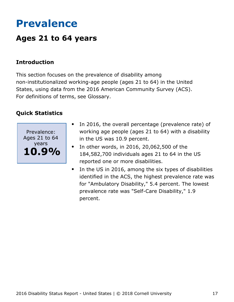## <span id="page-17-0"></span>**Prevalence**

## **Ages 21 to 64 years**

### **Introduction**

This section focuses on the prevalence of disability among non-institutionalized working-age people (ages 21 to 64) in the United States, using data from the 2016 American Community Survey (ACS). For definitions of terms, see Glossary.



- In 2016, the overall percentage (prevalence rate) of working age people (ages 21 to 64) with a disability in the US was 10.9 percent.
- In other words, in 2016, 20,062,500 of the  $\bullet$ 184,582,700 individuals ages 21 to 64 in the US reported one or more disabilities.
- $\bullet$ In the US in 2016, among the six types of disabilities identified in the ACS, the highest prevalence rate was for "Ambulatory Disability," 5.4 percent. The lowest prevalence rate was "Self-Care Disability," 1.9 percent.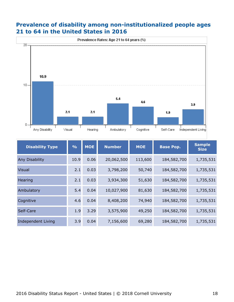#### **Prevalence of disability among non-institutionalized people ages 21 to 64 in the United States in 2016**



| <b>Disability Type</b> | $\frac{9}{6}$ | <b>MOE</b> | <b>Number</b> | <b>MOE</b> | <b>Base Pop.</b> | <b>Sample</b><br><b>Size</b> |
|------------------------|---------------|------------|---------------|------------|------------------|------------------------------|
| <b>Any Disability</b>  | 10.9          | 0.06       | 20,062,500    | 113,600    | 184,582,700      | 1,735,531                    |
| Visual                 | 2.1           | 0.03       | 3,798,200     | 50,740     | 184,582,700      | 1,735,531                    |
| Hearing                | 2.1           | 0.03       | 3,934,300     | 51,630     | 184,582,700      | 1,735,531                    |
| Ambulatory             | 5.4           | 0.04       | 10,027,900    | 81,630     | 184,582,700      | 1,735,531                    |
| Cognitive              | 4.6           | 0.04       | 8,408,200     | 74,940     | 184,582,700      | 1,735,531                    |
| Self-Care              | 1.9           | 3.29       | 3,575,900     | 49,250     | 184,582,700      | 1,735,531                    |
| Independent Living     | 3.9           | 0.04       | 7,156,600     | 69,280     | 184,582,700      | 1,735,531                    |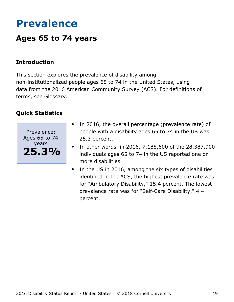## <span id="page-19-0"></span>**Prevalence**

## **Ages 65 to 74 years**

### **Introduction**

This section explores the prevalence of disability among non-institutionalized people ages 65 to 74 in the United States, using data from the 2016 American Community Survey (ACS). For definitions of terms, see Glossary.



- In 2016, the overall percentage (prevalence rate) of people with a disability ages 65 to 74 in the US was 25.3 percent.
- In other words, in 2016, 7,188,600 of the 28,387,900  $\bullet$ individuals ages 65 to 74 in the US reported one or more disabilities.
- $\bullet$ In the US in 2016, among the six types of disabilities identified in the ACS, the highest prevalence rate was for "Ambulatory Disability," 15.4 percent. The lowest prevalence rate was for "Self-Care Disability," 4.4 percent.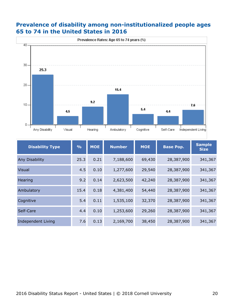#### **Prevalence of disability among non-institutionalized people ages 65 to 74 in the United States in 2016**



| <b>Disability Type</b> | $\frac{0}{0}$ | <b>MOE</b> | <b>Number</b> | <b>MOE</b> | <b>Base Pop.</b> | <b>Sample</b><br><b>Size</b> |
|------------------------|---------------|------------|---------------|------------|------------------|------------------------------|
| Any Disability         | 25.3          | 0.21       | 7,188,600     | 69,430     | 28,387,900       | 341,367                      |
| <b>Visual</b>          | 4.5           | 0.10       | 1,277,600     | 29,540     | 28,387,900       | 341,367                      |
| Hearing                | 9.2           | 0.14       | 2,623,500     | 42,240     | 28,387,900       | 341,367                      |
| Ambulatory             | 15.4          | 0.18       | 4,381,400     | 54,440     | 28,387,900       | 341,367                      |
| Cognitive              | 5.4           | 0.11       | 1,535,100     | 32,370     | 28,387,900       | 341,367                      |
| Self-Care              | 4.4           | 0.10       | 1,253,600     | 29,260     | 28,387,900       | 341,367                      |
| Independent Living     | 7.6           | 0.13       | 2,169,700     | 38,450     | 28,387,900       | 341,367                      |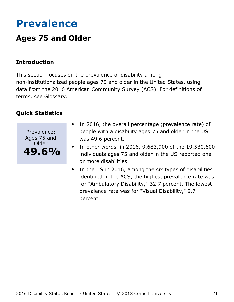## <span id="page-21-0"></span>**Prevalence**

## **Ages 75 and Older**

### **Introduction**

This section focuses on the prevalence of disability among non-institutionalized people ages 75 and older in the United States, using data from the 2016 American Community Survey (ACS). For definitions of terms, see Glossary.



- In 2016, the overall percentage (prevalence rate) of people with a disability ages 75 and older in the US was 49.6 percent.
- In other words, in 2016, 9,683,900 of the 19,530,600 individuals ages 75 and older in the US reported one or more disabilities.
- In the US in 2016, among the six types of disabilities  $\bullet$ identified in the ACS, the highest prevalence rate was for "Ambulatory Disability," 32.7 percent. The lowest prevalence rate was for "Visual Disability," 9.7 percent.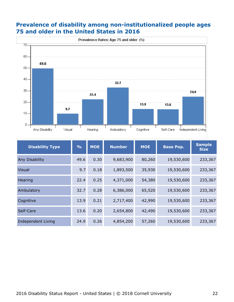#### **Prevalence of disability among non-institutionalized people ages 75 and older in the United States in 2016**



| <b>Disability Type</b> | $\frac{9}{6}$ | <b>MOE</b> | <b>Number</b> | <b>MOE</b> | <b>Base Pop.</b> | <b>Sample</b><br><b>Size</b> |
|------------------------|---------------|------------|---------------|------------|------------------|------------------------------|
| Any Disability         | 49.6          | 0.30       | 9,683,900     | 80,260     | 19,530,600       | 233,367                      |
| <b>Visual</b>          | 9.7           | 0.18       | 1,893,500     | 35,930     | 19,530,600       | 233,367                      |
| Hearing                | 22.4          | 0.25       | 4,371,000     | 54,380     | 19,530,600       | 233,367                      |
| Ambulatory             | 32.7          | 0.28       | 6,386,000     | 65,520     | 19,530,600       | 233,367                      |
| Cognitive              | 13.9          | 0.21       | 2,717,400     | 42,990     | 19,530,600       | 233,367                      |
| Self-Care              | 13.6          | 0.20       | 2,654,800     | 42,490     | 19,530,600       | 233,367                      |
| Independent Living     | 24.9          | 0.26       | 4,854,200     | 57,260     | 19,530,600       | 233,367                      |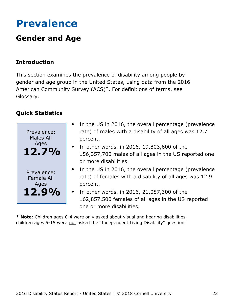## <span id="page-23-0"></span>**Prevalence**

## **Gender and Age**

### **Introduction**

This section examines the prevalence of disability among people by gender and age group in the United States, using data from the 2016 American Community Survey (ACS)\*. For definitions of terms, see Glossary.

### **Quick Statistics**



- In the US in 2016, the overall percentage (prevalence rate) of males with a disability of all ages was 12.7 percent.
- $\bullet$  In other words, in 2016, 19,803,600 of the 156,357,700 males of all ages in the US reported one or more disabilities.
- In the US in 2016, the overall percentage (prevalence rate) of females with a disability of all ages was 12.9 percent.
- In other words, in 2016, 21,087,300 of the 162,857,500 females of all ages in the US reported one or more disabilities.

**\* Note:** Children ages 0-4 were only asked about visual and hearing disabilities, children ages 5-15 were not asked the "Independent Living Disability" question.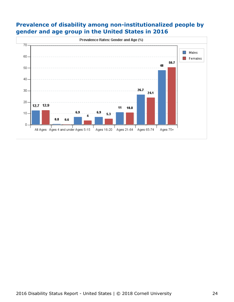#### **Prevalence of disability among non-institutionalized people by gender and age group in the United States in 2016**

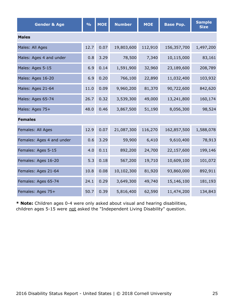| <b>Gender &amp; Age</b>   | $\frac{0}{0}$ | <b>MOE</b> | <b>Number</b> | <b>MOE</b> | <b>Base Pop.</b> | <b>Sample</b><br><b>Size</b> |  |  |  |  |
|---------------------------|---------------|------------|---------------|------------|------------------|------------------------------|--|--|--|--|
| <b>Males</b>              |               |            |               |            |                  |                              |  |  |  |  |
| Males: All Ages           | 12.7          | 0.07       | 19,803,600    | 112,910    | 156,357,700      | 1,497,200                    |  |  |  |  |
| Males: Ages 4 and under   | 0.8           | 3.29       | 78,500        | 7,340      | 10,115,000       | 83,161                       |  |  |  |  |
| Males: Ages 5-15          | 6.9           | 0.14       | 1,591,900     | 32,960     | 23,189,600       | 208,789                      |  |  |  |  |
| Males: Ages 16-20         | 6.9           | 0.20       | 766,100       | 22,890     | 11,032,400       | 103,932                      |  |  |  |  |
| Males: Ages 21-64         | 11.0          | 0.09       | 9,960,200     | 81,370     | 90,722,600       | 842,620                      |  |  |  |  |
| Males: Ages 65-74         | 26.7          | 0.32       | 3,539,300     | 49,000     | 13,241,800       | 160,174                      |  |  |  |  |
| Males: Ages 75+           | 48.0          | 0.46       | 3,867,500     | 51,190     | 8,056,300        | 98,524                       |  |  |  |  |
| <b>Females</b>            |               |            |               |            |                  |                              |  |  |  |  |
| Females: All Ages         | 12.9          | 0.07       | 21,087,300    | 116,270    | 162,857,500      | 1,588,078                    |  |  |  |  |
| Females: Ages 4 and under | 0.6           | 3.29       | 59,900        | 6,410      | 9,610,400        | 78,913                       |  |  |  |  |
| Females: Ages 5-15        | 4.0           | 0.11       | 892,200       | 24,700     | 22,157,600       | 199,146                      |  |  |  |  |
| Females: Ages 16-20       | 5.3           | 0.18       | 567,200       | 19,710     | 10,609,100       | 101,072                      |  |  |  |  |
| Females: Ages 21-64       | 10.8          | 0.08       | 10,102,300    | 81,920     | 93,860,000       | 892,911                      |  |  |  |  |
| Females: Ages 65-74       | 24.1          | 0.29       | 3,649,300     | 49,740     | 15,146,100       | 181,193                      |  |  |  |  |
| Females: Ages 75+         | 50.7          | 0.39       | 5,816,400     | 62,590     | 11,474,200       | 134,843                      |  |  |  |  |

**\* Note:** Children ages 0-4 were only asked about visual and hearing disabilities, children ages 5-15 were not asked the "Independent Living Disability" question.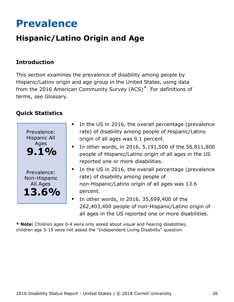## <span id="page-26-0"></span>**Prevalence**

## **Hispanic/Latino Origin and Age**

### **Introduction**

This section examines the prevalence of disability among people by Hispanic/Latino origin and age group in the United States, using data from the 2016 American Community Survey (ACS)\*. For definitions of terms, see Glossary.

### **Quick Statistics**



- In the US in 2016, the overall percentage (prevalence rate) of disability among people of Hispanic/Latino origin of all ages was 9.1 percent.
- In other words, in 2016, 5,191,500 of the 56,811,800 people of Hispanic/Latino origin of all ages in the US reported one or more disabilities.
- In the US in 2016, the overall percentage (prevalence rate) of disability among people of non-Hispanic/Latino origin of all ages was 13.6 percent.
- In other words, in 2016, 35,699,400 of the 262,403,400 people of non-Hispanic/Latino origin of all ages in the US reported one or more disabilities.

**\* Note:** Children ages 0-4 were only asked about visual and hearing disabilities, children age 5-15 were not asked the "Independent Living Disability" question.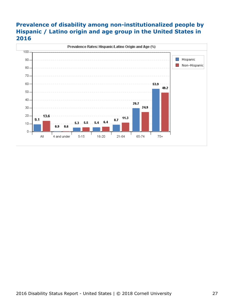### **Prevalence of disability among non-institutionalized people by Hispanic / Latino origin and age group in the United States in 2016**

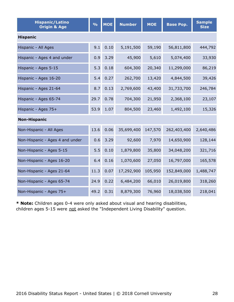| <b>Hispanic/Latino</b><br><b>Origin &amp; Age</b> | $\frac{9}{6}$ | <b>MOE</b> | <b>Number</b> | <b>MOE</b> | <b>Base Pop.</b> | <b>Sample</b><br><b>Size</b> |  |  |  |
|---------------------------------------------------|---------------|------------|---------------|------------|------------------|------------------------------|--|--|--|
| <b>Hispanic</b>                                   |               |            |               |            |                  |                              |  |  |  |
| Hispanic - All Ages                               | 9.1           | 0.10       | 5,191,500     | 59,190     | 56,811,800       | 444,792                      |  |  |  |
| Hispanic - Ages 4 and under                       | 0.9           | 3.29       | 45,900        | 5,610      | 5,074,400        | 33,930                       |  |  |  |
| Hispanic - Ages 5-15                              | 5.3           | 0.18       | 604,300       | 20,340     | 11,299,000       | 86,219                       |  |  |  |
| Hispanic - Ages 16-20                             | 5.4           | 0.27       | 262,700       | 13,420     | 4,844,500        | 39,426                       |  |  |  |
| Hispanic - Ages 21-64                             | 8.7           | 0.13       | 2,769,600     | 43,400     | 31,733,700       | 246,784                      |  |  |  |
| Hispanic - Ages 65-74                             | 29.7          | 0.78       | 704,300       | 21,950     | 2,368,100        | 23,107                       |  |  |  |
| Hispanic - Ages 75+                               | 53.9          | 1.07       | 804,500       | 23,460     | 1,492,100        | 15,326                       |  |  |  |
| <b>Non-Hispanic</b>                               |               |            |               |            |                  |                              |  |  |  |
| Non-Hispanic - All Ages                           | 13.6          | 0.06       | 35,699,400    | 147,570    | 262,403,400      | 2,640,486                    |  |  |  |
| Non-Hispanic - Ages 4 and under                   | 0.6           | 3.29       | 92,600        | 7,970      | 14,650,900       | 128,144                      |  |  |  |
| Non-Hispanic - Ages 5-15                          | 5.5           | 0.10       | 1,879,800     | 35,800     | 34,048,200       | 321,716                      |  |  |  |
| Non-Hispanic - Ages 16-20                         | 6.4           | 0.16       | 1,070,600     | 27,050     | 16,797,000       | 165,578                      |  |  |  |
| Non-Hispanic - Ages 21-64                         | 11.3          | 0.07       | 17,292,900    | 105,950    | 152,849,000      | 1,488,747                    |  |  |  |
| Non-Hispanic - Ages 65-74                         | 24.9          | 0.22       | 6,484,200     | 66,010     | 26,019,800       | 318,260                      |  |  |  |
| Non-Hispanic - Ages 75+                           | 49.2          | 0.31       | 8,879,300     | 76,960     | 18,038,500       | 218,041                      |  |  |  |

**\* Note:** Children ages 0-4 were only asked about visual and hearing disabilities, children ages 5-15 were not asked the "Independent Living Disability" question.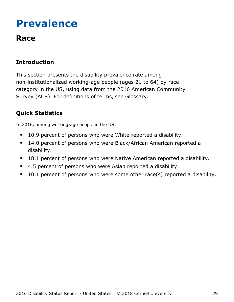## <span id="page-29-0"></span>**Prevalence**

## **Race**

### **Introduction**

This section presents the disability prevalence rate among non-institutionalized working-age people (ages 21 to 64) by race category in the US, using data from the 2016 American Community Survey (ACS). For definitions of terms, see Glossary.

### **Quick Statistics**

In 2016, among working-age people in the US:

- 10.9 percent of persons who were White reported a disability.  $\bullet$
- 14.0 percent of persons who were Black/African American reported a  $\bullet$ disability.
- 18.1 percent of persons who were Native American reported a disability.  $\bullet$
- 4.5 percent of persons who were Asian reported a disability.  $\bullet$
- $\bullet$ 10.1 percent of persons who were some other race(s) reported a disability.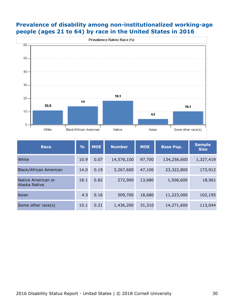

#### **Prevalence of disability among non-institutionalized working-age people (ages 21 to 64) by race in the United States in 2016**

| <b>Race</b>                         | $\frac{9}{6}$ | <b>MOE</b> | <b>Number</b> | <b>MOE</b> | <b>Base Pop.</b> | <b>Sample</b><br><b>Size</b> |
|-------------------------------------|---------------|------------|---------------|------------|------------------|------------------------------|
| White                               | 10.9          | 0.07       | 14,576,100    | 97,700     | 134,256,600      | 1,327,419                    |
| Black/African American              | 14.0          | 0.19       | 3,267,600     | 47,100     | 23,322,800       | 173,912                      |
| Native American or<br>Alaska Native | 18.1          | 0.82       | 272,900       | 13,680     | 1,508,600        | 18,961                       |
| Asian                               | 4.5           | 0.16       | 509,700       | 18,680     | 11,223,000       | 102,195                      |
| Some other race(s)                  | 10.1          | 0.21       | 1,436,200     | 31,310     | 14,271,600       | 113,044                      |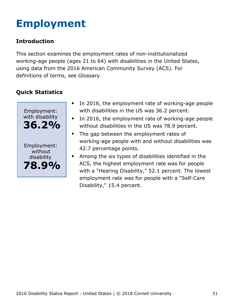# <span id="page-31-0"></span>**Employment**

### **Introduction**

This section examines the employment rates of non-institutionalized working-age people (ages 21 to 64) with disabilities in the United States, using data from the 2016 American Community Survey (ACS). For definitions of terms, see Glossary.



- In 2016, the employment rate of working-age people  $\bullet$ with disabilities in the US was 36.2 percent.
- In 2016, the employment rate of working-age people  $\bullet$ without disabilities in the US was 78.9 percent.
- The gap between the employment rates of  $\bullet$ working-age people with and without disabilities was 42.7 percentage points.
- Among the six types of disabilities identified in the ACS, the highest employment rate was for people with a "Hearing Disability," 52.1 percent. The lowest employment rate was for people with a "Self-Care Disability," 15.4 percent.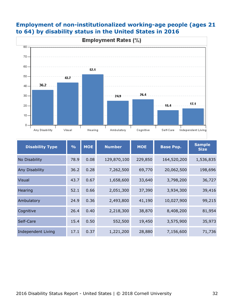

#### **Employment of non-institutionalized working-age people (ages 21 to 64) by disability status in the United States in 2016**

| <b>Disability Type</b> | $\frac{0}{0}$ | <b>MOE</b> | <b>Number</b><br><b>MOE</b><br><b>Base Pop.</b> |         |             | <b>Sample</b><br><b>Size</b> |
|------------------------|---------------|------------|-------------------------------------------------|---------|-------------|------------------------------|
| No Disability          | 78.9          | 0.08       | 129,870,100                                     | 229,850 | 164,520,200 | 1,536,835                    |
| Any Disability         | 36.2          | 0.28       | 7,262,500                                       | 69,770  | 20,062,500  | 198,696                      |
| <b>Visual</b>          | 43.7          | 0.67       | 1,658,600                                       | 33,640  | 3,798,200   | 36,727                       |
| Hearing                | 52.1          | 0.66       | 2,051,300                                       | 37,390  | 3,934,300   | 39,416                       |
| Ambulatory             | 24.9          | 0.36       | 2,493,800                                       | 41,190  | 10,027,900  | 99,215                       |
| Cognitive              | 26.4          | 0.40       | 2,218,300                                       | 38,870  | 8,408,200   | 81,954                       |
| Self-Care              | 15.4          | 0.50       | 552,500                                         | 19,450  | 3,575,900   | 35,973                       |
| Independent Living     | 17.1          | 0.37       | 1,221,200                                       | 28,880  | 7,156,600   | 71,736                       |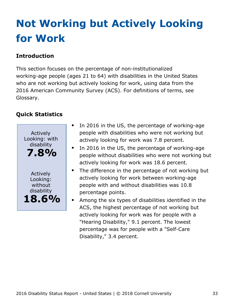# <span id="page-33-0"></span>**Not Working but Actively Looking for Work**

### **Introduction**

This section focuses on the percentage of non-institutionalized working-age people (ages 21 to 64) with disabilities in the United States who are not working but actively looking for work, using data from the 2016 American Community Survey (ACS). For definitions of terms, see Glossary.



- $\bullet$ In 2016 in the US, the percentage of working-age people with disabilities who were not working but actively looking for work was 7.8 percent.
- In 2016 in the US, the percentage of working-age people without disabilities who were not working but actively looking for work was 18.6 percent.
- $\bullet$ The difference in the percentage of not working but actively looking for work between working-age people with and without disabilities was 10.8 percentage points.
	- Among the six types of disabilities identified in the ACS, the highest percentage of not working but actively looking for work was for people with a "Hearing Disability," 9.1 percent. The lowest percentage was for people with a "Self-Care Disability," 3.4 percent.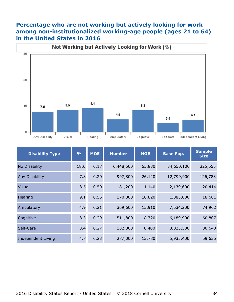#### **Percentage who are not working but actively looking for work among non-institutionalized working-age people (ages 21 to 64) in the United States in 2016**



| <b>Disability Type</b>    | $\frac{9}{6}$ | <b>MOE</b> | <b>Number</b> | <b>MOE</b><br><b>Base Pop.</b> |            | <b>Sample</b><br><b>Size</b> |
|---------------------------|---------------|------------|---------------|--------------------------------|------------|------------------------------|
| No Disability             | 18.6          | 0.17       | 6,448,500     | 65,830                         | 34,650,100 | 325,555                      |
| Any Disability            | 7.8           | 0.20       | 997,800       | 26,120                         | 12,799,900 | 126,788                      |
| <b>Visual</b>             | 8.5           | 0.50       | 181,200       | 11,140                         | 2,139,600  | 20,414                       |
| Hearing                   | 9.1           | 0.55       | 170,800       | 10,820                         | 1,883,000  | 18,681                       |
| Ambulatory                | 4.9           | 0.21       | 369,600       | 15,910                         | 7,534,200  | 74,962                       |
| Cognitive                 | 8.3           | 0.29       | 511,800       | 18,720                         | 6,189,900  | 60,807                       |
| Self-Care                 | 3.4           | 0.27       | 102,800       | 8,400                          | 3,023,500  | 30,640                       |
| <b>Independent Living</b> | 4.7           | 0.23       | 277,000       | 13,780                         | 5,935,400  | 59,635                       |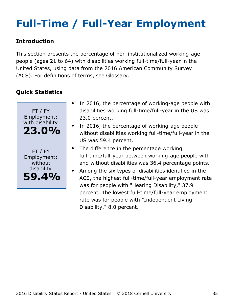# <span id="page-35-0"></span>**Full-Time / Full-Year Employment**

#### **Introduction**

This section presents the percentage of non-institutionalized working-age people (ages 21 to 64) with disabilities working full-time/full-year in the United States, using data from the 2016 American Community Survey (ACS). For definitions of terms, see Glossary.



- In 2016, the percentage of working-age people with disabilities working full-time/full-year in the US was 23.0 percent.
- In 2016, the percentage of working-age people without disabilities working full-time/full-year in the US was 59.4 percent.
- The difference in the percentage working full-time/full-year between working-age people with and without disabilities was 36.4 percentage points.
- Among the six types of disabilities identified in the  $\bullet$ ACS, the highest full-time/full-year employment rate was for people with "Hearing Disability," 37.9 percent. The lowest full-time/full-year employment rate was for people with "Independent Living Disability," 8.0 percent.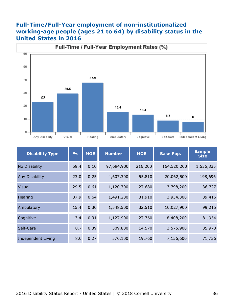#### **Full-Time/Full-Year employment of non-institutionalized working-age people (ages 21 to 64) by disability status in the United States in 2016**



| <b>Disability Type</b> | $\frac{9}{6}$ | <b>MOE</b> | <b>Number</b> | <b>MOE</b> | <b>Base Pop.</b> | <b>Sample</b><br><b>Size</b> |
|------------------------|---------------|------------|---------------|------------|------------------|------------------------------|
| No Disability          | 59.4          | 0.10       | 97,694,900    | 216,200    | 164,520,200      | 1,536,835                    |
| <b>Any Disability</b>  | 23.0          | 0.25       | 4,607,300     | 55,810     | 20,062,500       | 198,696                      |
| <b>Visual</b>          | 29.5          | 0.61       | 1,120,700     | 27,680     | 3,798,200        | 36,727                       |
| Hearing                | 37.9          | 0.64       | 1,491,200     | 31,910     | 3,934,300        | 39,416                       |
| Ambulatory             | 15.4          | 0.30       | 1,548,500     | 32,510     | 10,027,900       | 99,215                       |
| Cognitive              | 13.4          | 0.31       | 1,127,900     | 27,760     | 8,408,200        | 81,954                       |
| Self-Care              | 8.7           | 0.39       | 309,800       | 14,570     | 3,575,900        | 35,973                       |
| Independent Living     | 8.0           | 0.27       | 570,100       | 19,760     | 7,156,600        | 71,736                       |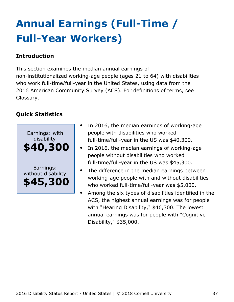# <span id="page-37-0"></span>**Annual Earnings (Full-Time / Full-Year Workers)**

### **Introduction**

This section examines the median annual earnings of non-institutionalized working-age people (ages 21 to 64) with disabilities who work full-time/full-year in the United States, using data from the 2016 American Community Survey (ACS). For definitions of terms, see Glossary.



- In 2016, the median earnings of working-age people with disabilities who worked full-time/full-year in the US was \$40,300.
- In 2016, the median earnings of working-age people without disabilities who worked full-time/full-year in the US was \$45,300.
- The difference in the median earnings between working-age people with and without disabilities who worked full-time/full-year was \$5,000.
- Among the six types of disabilities identified in the ACS, the highest annual earnings was for people with "Hearing Disability," \$46,300. The lowest annual earnings was for people with "Cognitive Disability," \$35,000.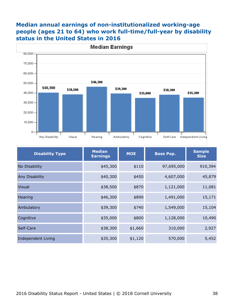#### **Median annual earnings of non-institutionalized working-age people (ages 21 to 64) who work full-time/full-year by disability status in the United States in 2016**



| <b>Disability Type</b>    | <b>Median</b><br><b>Earnings</b> | <b>MOE</b><br><b>Base Pop.</b> |            | <b>Sample</b><br><b>Size</b> |
|---------------------------|----------------------------------|--------------------------------|------------|------------------------------|
| No Disability             | \$45,300                         | \$110                          | 97,695,000 | 910,394                      |
| Any Disability            | \$40,300                         | \$450                          | 4,607,000  | 45,879                       |
| <b>Visual</b>             | \$38,500                         | \$870                          | 1,121,000  | 11,081                       |
| Hearing                   | \$46,300                         | \$890                          | 1,491,000  | 15,171                       |
| Ambulatory                | \$39,300                         | \$740                          | 1,549,000  | 15,104                       |
| Cognitive                 | \$35,000                         | \$800                          | 1,128,000  | 10,490                       |
| Self-Care                 | \$38,300                         | \$1,660                        | 310,000    | 2,927                        |
| <b>Independent Living</b> | \$35,300                         | \$1,120                        | 570,000    | 5,452                        |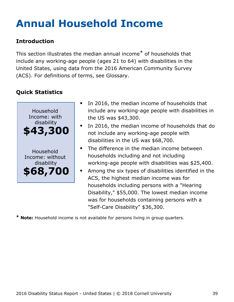# <span id="page-39-0"></span>**Annual Household Income**

### **Introduction**

This section illustrates the median annual income\* of households that include any working-age people (ages 21 to 64) with disabilities in the United States, using data from the 2016 American Community Survey (ACS). For definitions of terms, see Glossary.

## **Quick Statistics**



- In 2016, the median income of households that include any working-age people with disabilities in the US was \$43,300.
- In 2016, the median income of households that do not include any working-age people with disabilities in the US was \$68,700.
- The difference in the median income between households including and not including working-age people with disabilities was \$25,400.
- Among the six types of disabilities identified in the ACS, the highest median income was for households including persons with a "Hearing Disability," \$55,000. The lowest median income was for households containing persons with a "Self-Care Disability" \$36,300.

**\* Note:** Household income is not available for persons living in group quarters.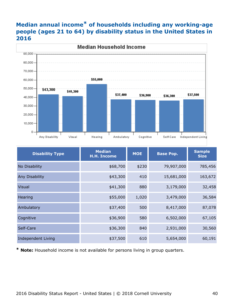### **Median annual income\* of households including any working-age people (ages 21 to 64) by disability status in the United States in 2016**



| <b>Disability Type</b>    | <b>Median</b><br><b>H.H. Income</b> | <b>MOE</b> | <b>Base Pop.</b> | <b>Sample</b><br><b>Size</b> |
|---------------------------|-------------------------------------|------------|------------------|------------------------------|
| No Disability             | \$68,700                            | \$230      | 79,907,000       | 785,456                      |
| Any Disability            | \$43,300                            | 410        | 15,681,000       | 163,672                      |
| <b>Visual</b>             | \$41,300                            | 880        | 3,179,000        | 32,458                       |
| Hearing                   | \$55,000                            | 1,020      | 3,479,000        | 36,584                       |
| Ambulatory                | \$37,400                            | 500        | 8,417,000        | 87,078                       |
| Cognitive                 | \$36,900                            | 580        | 6,502,000        | 67,105                       |
| Self-Care                 | \$36,300                            | 840        | 2,931,000        | 30,560                       |
| <b>Independent Living</b> | \$37,500                            | 610        | 5,654,000        | 60,191                       |

**\* Note:** Household income is not available for persons living in group quarters.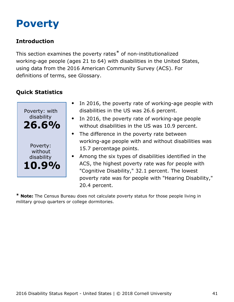## <span id="page-41-0"></span>**Poverty**

### **Introduction**

This section examines the poverty rates\* of non-institutionalized working-age people (ages 21 to 64) with disabilities in the United States, using data from the 2016 American Community Survey (ACS). For definitions of terms, see Glossary.

## **Quick Statistics**



- In 2016, the poverty rate of working-age people with disabilities in the US was 26.6 percent.
- In 2016, the poverty rate of working-age people  $\bullet$ without disabilities in the US was 10.9 percent.
- The difference in the poverty rate between working-age people with and without disabilities was 15.7 percentage points.
- Among the six types of disabilities identified in the ACS, the highest poverty rate was for people with "Cognitive Disability," 32.1 percent. The lowest poverty rate was for people with "Hearing Disability," 20.4 percent.

**\* Note:** The Census Bureau does not calculate poverty status for those people living in military group quarters or college dormitories.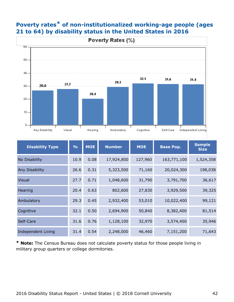

### **Poverty rates\* of non-institutionalized working-age people (ages 21 to 64) by disability status in the United States in 2016**

| <b>Disability Type</b>    | $\frac{9}{6}$ | <b>MOE</b> | <b>Number</b> | <b>MOE</b> | <b>Base Pop.</b> | <b>Sample</b><br><b>Size</b> |
|---------------------------|---------------|------------|---------------|------------|------------------|------------------------------|
| No Disability             | 10.9          | 0.08       | 17,924,800    | 127,960    | 163,771,100      | 1,524,358                    |
| <b>Any Disability</b>     | 26.6          | 0.31       | 5,323,500     | 71,160     | 20,024,300       | 198,038                      |
| <b>Visual</b>             | 27.7          | 0.71       | 1,048,600     | 31,790     | 3,791,700        | 36,617                       |
| Hearing                   | 20.4          | 0.63       | 802,600       | 27,830     | 3,929,500        | 39,325                       |
| Ambulatory                | 29.3          | 0.45       | 2,932,400     | 53,010     | 10,022,400       | 99,121                       |
| Cognitive                 | 32.1          | 0.50       | 2,694,900     | 50,840     | 8,382,400        | 81,514                       |
| Self-Care                 | 31.6          | 0.76       | 1,128,100     | 32,970     | 3,574,400        | 35,946                       |
| <b>Independent Living</b> | 31.4          | 0.54       | 2,248,000     | 46,460     | 7,151,200        | 71,643                       |

**\* Note:** The Census Bureau does not calculate poverty status for those people living in military group quarters or college dormitories.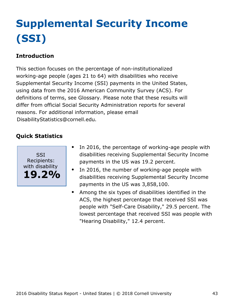# <span id="page-43-0"></span>**Supplemental Security Income (SSI)**

### **Introduction**

This section focuses on the percentage of non-institutionalized working-age people (ages 21 to 64) with disabilities who receive Supplemental Security Income (SSI) payments in the United States, using data from the 2016 American Community Survey (ACS). For definitions of terms, see Glossary. Please note that these results will differ from official Social Security Administration reports for several reasons. For additional information, please email [DisabilityStatistics@cornell.edu](mailto:DisabilityStatistics@cornell.edu).



- In 2016, the percentage of working-age people with  $\bullet$ disabilities receiving Supplemental Security Income payments in the US was 19.2 percent.
- In 2016, the number of working-age people with disabilities receiving Supplemental Security Income payments in the US was 3,858,100.
- Among the six types of disabilities identified in the  $\bullet$ ACS, the highest percentage that received SSI was people with "Self-Care Disability," 29.5 percent. The lowest percentage that received SSI was people with "Hearing Disability," 12.4 percent.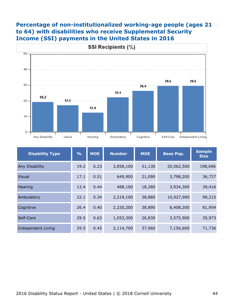#### **Percentage of non-institutionalized working-age people (ages 21 to 64) with disabilities who receive Supplemental Security Income (SSI) payments in the United States in 2016**



| <b>Disability Type</b>    | $\frac{9}{6}$ | <b>MOE</b> | <b>Number</b><br><b>MOE</b> |        | <b>Base Pop.</b> | <b>Sample</b><br><b>Size</b> |
|---------------------------|---------------|------------|-----------------------------|--------|------------------|------------------------------|
| Any Disability            | 19.2          | 0.23       | 3,858,100                   | 51,130 | 20,062,500       | 198,696                      |
| <b>Visual</b>             | 17.1          | 0.51       | 649,900                     | 21,090 | 3,798,200        | 36,727                       |
| Hearing                   | 12.4          | 0.44       | 488,100                     | 18,280 | 3,934,300        | 39,416                       |
| Ambulatory                | 22.1          | 0.34       | 2,219,100                   | 38,880 | 10,027,900       | 99,215                       |
| Cognitive                 | 26.4          | 0.40       | 2,220,200                   | 38,890 | 8,408,200        | 81,954                       |
| Self-Care                 | 29.5          | 0.63       | 1,053,300                   | 26,830 | 3,575,900        | 35,973                       |
| <b>Independent Living</b> | 29.5          | 0.45       | 2,114,700                   | 37,960 | 7,156,600        | 71,736                       |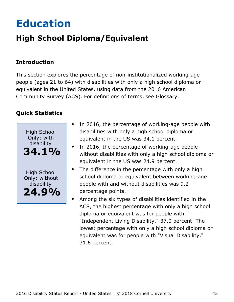# <span id="page-45-0"></span>**Education**

## **High School Diploma/Equivalent**

### **Introduction**

This section explores the percentage of non-institutionalized working-age people (ages 21 to 64) with disabilities with only a high school diploma or equivalent in the United States, using data from the 2016 American Community Survey (ACS). For definitions of terms, see Glossary.



- In 2016, the percentage of working-age people with  $\bullet$ disabilities with only a high school diploma or equivalent in the US was 34.1 percent.
- In 2016, the percentage of working-age people without disabilities with only a high school diploma or equivalent in the US was 24.9 percent.
- The difference in the percentage with only a high school diploma or equivalent between working-age people with and without disabilities was 9.2 percentage points.
- Among the six types of disabilities identified in the ACS, the highest percentage with only a high school diploma or equivalent was for people with "Independent Living Disability," 37.0 percent. The lowest percentage with only a high school diploma or equivalent was for people with "Visual Disability," 31.6 percent.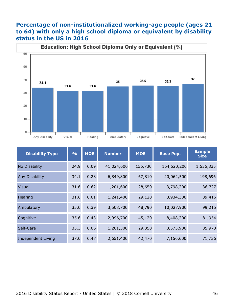#### **Percentage of non-institutionalized working-age people (ages 21 to 64) with only a high school diploma or equivalent by disability status in the US in 2016**



| <b>Disability Type</b>    | $\frac{9}{6}$ | <b>MOE</b> | <b>Number</b> | <b>MOE</b> | <b>Base Pop.</b> | <b>Sample</b><br><b>Size</b> |
|---------------------------|---------------|------------|---------------|------------|------------------|------------------------------|
| No Disability             | 24.9          | 0.09       | 41,024,600    | 156,730    | 164,520,200      | 1,536,835                    |
| Any Disability            | 34.1          | 0.28       | 6,849,800     | 67,810     | 20,062,500       | 198,696                      |
| <b>Visual</b>             | 31.6          | 0.62       | 1,201,600     | 28,650     | 3,798,200        | 36,727                       |
| Hearing                   | 31.6          | 0.61       | 1,241,400     | 29,120     | 3,934,300        | 39,416                       |
| Ambulatory                | 35.0          | 0.39       | 3,508,700     | 48,790     | 10,027,900       | 99,215                       |
| Cognitive                 | 35.6          | 0.43       | 2,996,700     | 45,120     | 8,408,200        | 81,954                       |
| Self-Care                 | 35.3          | 0.66       | 1,261,300     | 29,350     | 3,575,900        | 35,973                       |
| <b>Independent Living</b> | 37.0          | 0.47       | 2,651,400     | 42,470     | 7,156,600        | 71,736                       |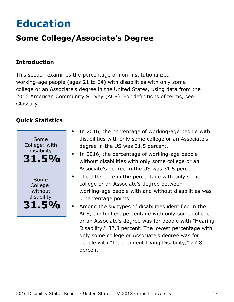# <span id="page-47-0"></span>**Education**

## **Some College/Associate's Degree**

#### **Introduction**

This section examines the percentage of non-institutionalized working-age people (ages 21 to 64) with disabilities with only some college or an Associate's degree in the United States, using data from the 2016 American Community Survey (ACS). For definitions of terms, see Glossary.



- In 2016, the percentage of working-age people with  $\bullet$ disabilities with only some college or an Associate's degree in the US was 31.5 percent.
- In 2016, the percentage of working-age people without disabilities with only some college or an Associate's degree in the US was 31.5 percent.
- The difference in the percentage with only some  $\bullet$ college or an Associate's degree between working-age people with and without disabilities was 0 percentage points.
- Among the six types of disabilities identified in the ACS, the highest percentage with only some college or an Associate's degree was for people with "Hearing Disability," 32.8 percent. The lowest percentage with only some college or Associate's degree was for people with "Independent Living Disability," 27.8 percent.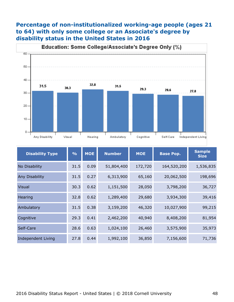#### **Percentage of non-institutionalized working-age people (ages 21 to 64) with only some college or an Associate's degree by disability status in the United States in 2016**



| <b>Disability Type</b>    | $\frac{0}{0}$ | <b>MOE</b> | <b>Number</b> | <b>MOE</b> | <b>Base Pop.</b> | <b>Sample</b><br><b>Size</b> |
|---------------------------|---------------|------------|---------------|------------|------------------|------------------------------|
| No Disability             | 31.5          | 0.09       | 51,804,400    | 172,720    | 164,520,200      | 1,536,835                    |
| Any Disability            | 31.5          | 0.27       | 6,313,900     | 65,160     | 20,062,500       | 198,696                      |
| <b>Visual</b>             | 30.3          | 0.62       | 1,151,500     | 28,050     | 3,798,200        | 36,727                       |
| Hearing                   | 32.8          | 0.62       | 1,289,400     | 29,680     | 3,934,300        | 39,416                       |
| Ambulatory                | 31.5          | 0.38       | 3,159,200     | 46,320     | 10,027,900       | 99,215                       |
| Cognitive                 | 29.3          | 0.41       | 2,462,200     | 40,940     | 8,408,200        | 81,954                       |
| Self-Care                 | 28.6          | 0.63       | 1,024,100     | 26,460     | 3,575,900        | 35,973                       |
| <b>Independent Living</b> | 27.8          | 0.44       | 1,992,100     | 36,850     | 7,156,600        | 71,736                       |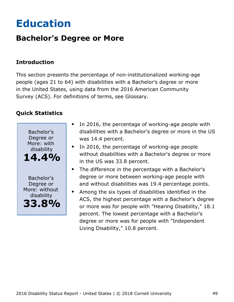## <span id="page-49-0"></span>**Education**

## **Bachelor's Degree or More**

### **Introduction**

This section presents the percentage of non-institutionalized working-age people (ages 21 to 64) with disabilities with a Bachelor's degree or more in the United States, using data from the 2016 American Community Survey (ACS). For definitions of terms, see Glossary.



- In 2016, the percentage of working-age people with disabilities with a Bachelor's degree or more in the US was 14.4 percent.
- In 2016, the percentage of working-age people without disabilities with a Bachelor's degree or more in the US was 33.8 percent.
- The difference in the percentage with a Bachelor's degree or more between working-age people with and without disabilities was 19.4 percentage points.
- Among the six types of disabilities identified in the ACS, the highest percentage with a Bachelor's degree or more was for people with "Hearing Disability," 18.1 percent. The lowest percentage with a Bachelor's degree or more was for people with "Independent Living Disability," 10.8 percent.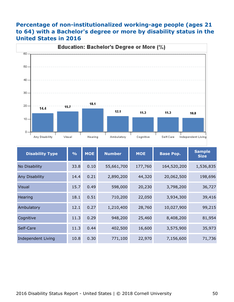### **Percentage of non-institutionalized working-age people (ages 21 to 64) with a Bachelor's degree or more by disability status in the United States in 2016**



| <b>Disability Type</b>    | $\frac{0}{0}$ | <b>MOE</b> | <b>Number</b> | <b>MOE</b> | <b>Base Pop.</b> | <b>Sample</b><br><b>Size</b> |
|---------------------------|---------------|------------|---------------|------------|------------------|------------------------------|
| No Disability             | 33.8          | 0.10       | 55,661,700    | 177,760    | 164,520,200      | 1,536,835                    |
| <b>Any Disability</b>     | 14.4          | 0.21       | 2,890,200     | 44,320     | 20,062,500       | 198,696                      |
| <b>Visual</b>             | 15.7          | 0.49       | 598,000       | 20,230     | 3,798,200        | 36,727                       |
| Hearing                   | 18.1          | 0.51       | 710,200       | 22,050     | 3,934,300        | 39,416                       |
| Ambulatory                | 12.1          | 0.27       | 1,210,400     | 28,760     | 10,027,900       | 99,215                       |
| Cognitive                 | 11.3          | 0.29       | 948,200       | 25,460     | 8,408,200        | 81,954                       |
| Self-Care                 | 11.3          | 0.44       | 402,500       | 16,600     | 3,575,900        | 35,973                       |
| <b>Independent Living</b> | 10.8          | 0.30       | 771,100       | 22,970     | 7,156,600        | 71,736                       |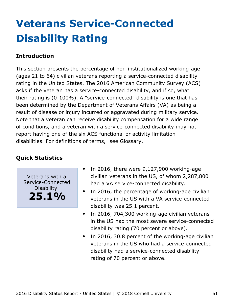# <span id="page-51-0"></span>**Veterans Service-Connected Disability Rating**

#### **Introduction**

This section presents the percentage of non-institutionalized working-age (ages 21 to 64) civilian veterans reporting a service-connected disability rating in the United States. The 2016 American Community Survey (ACS) asks if the veteran has a service-connected disability, and if so, what their rating is (0-100%). A "service-connected" disability is one that has been determined by the Department of Veterans Affairs (VA) as being a result of disease or injury incurred or aggravated during military service. Note that a veteran can receive disability compensation for a wide range of conditions, and a veteran with a service-connected disability may not report having one of the six ACS functional or activity limitation disabilities. For definitions of terms, see Glossary.

### **Quick Statistics**

Veterans with a Service-Connected Disability **25.1%**

- In 2016, there were 9,127,900 working-age civilian veterans in the US, of whom 2,287,800 had a VA service-connected disability.
- $\bullet$ In 2016, the percentage of working-age civilian veterans in the US with a VA service-connected disability was 25.1 percent.
- In 2016, 704,300 working-age civilian veterans  $\bullet$ in the US had the most severe service-connected disability rating (70 percent or above).
- In 2016, 30.8 percent of the working-age civilian  $\bullet$ veterans in the US who had a service-connected disability had a service-connected disability rating of 70 percent or above.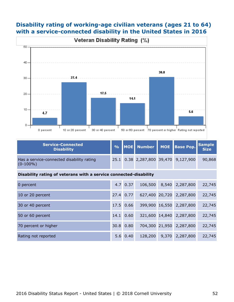#### **Disability rating of working-age civilian veterans (ages 21 to 64) with a service-connected disability in the United States in 2016**



| <b>Service-Connected</b><br><b>Disability</b>            |  |  | % MOE Number MOE Base Pop. Sample    |        |
|----------------------------------------------------------|--|--|--------------------------------------|--------|
| Has a service-connected disability rating<br>$(0-100\%)$ |  |  | 25.1 0.38 2,287,800 39,470 9,127,900 | 90,868 |

#### **Disability rating of veterans with a service connected-disability**

| 0 percent            |      | $4.7 \ 0.37$ | 106,500 | 8,540 2,287,800          | 22,745 |
|----------------------|------|--------------|---------|--------------------------|--------|
| 10 or 20 percent     |      | 27.4 0.77    |         | 627,400 20,720 2,287,800 | 22,745 |
| 30 or 40 percent     |      | 17.5 0.66    |         | 399,900 16,550 2,287,800 | 22,745 |
| 50 or 60 percent     | 14.1 | 0.60         |         | 321,600 14,840 2,287,800 | 22,745 |
| 70 percent or higher | 30.8 | 0.80         |         | 704,300 21,950 2,287,800 | 22,745 |
| Rating not reported  |      | 5.6 0.40     | 128,200 | 9,370 2,287,800          | 22,745 |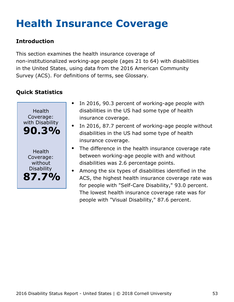# <span id="page-53-0"></span>**Health Insurance Coverage**

### **Introduction**

This section examines the health insurance coverage of non-institutionalized working-age people (ages 21 to 64) with disabilities in the United States, using data from the 2016 American Community Survey (ACS). For definitions of terms, see Glossary.



- In 2016, 90.3 percent of working-age people with disabilities in the US had some type of health insurance coverage.
- In 2016, 87.7 percent of working-age people without disabilities in the US had some type of health insurance coverage.
- The difference in the health insurance coverage rate between working-age people with and without disabilities was 2.6 percentage points.
- Among the six types of disabilities identified in the  $\bullet$ ACS, the highest health insurance coverage rate was for people with "Self-Care Disability," 93.0 percent. The lowest health insurance coverage rate was for people with "Visual Disability," 87.6 percent.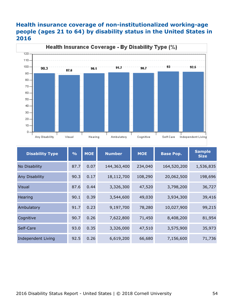#### **Health insurance coverage of non-institutionalized working-age people (ages 21 to 64) by disability status in the United States in 2016**



| <b>Disability Type</b>    | $\frac{9}{6}$ | <b>MOE</b> | <b>Number</b> | <b>MOE</b> | <b>Base Pop.</b> | <b>Sample</b><br><b>Size</b> |
|---------------------------|---------------|------------|---------------|------------|------------------|------------------------------|
| No Disability             | 87.7          | 0.07       | 144,363,400   | 234,040    | 164,520,200      | 1,536,835                    |
| Any Disability            | 90.3          | 0.17       | 18,112,700    | 108,290    | 20,062,500       | 198,696                      |
| <b>Visual</b>             | 87.6          | 0.44       | 3,326,300     | 47,520     | 3,798,200        | 36,727                       |
| Hearing                   | 90.1          | 0.39       | 3,544,600     | 49,030     | 3,934,300        | 39,416                       |
| Ambulatory                | 91.7          | 0.23       | 9,197,700     | 78,280     | 10,027,900       | 99,215                       |
| Cognitive                 | 90.7          | 0.26       | 7,622,800     | 71,450     | 8,408,200        | 81,954                       |
| Self-Care                 | 93.0          | 0.35       | 3,326,000     | 47,510     | 3,575,900        | 35,973                       |
| <b>Independent Living</b> | 92.5          | 0.26       | 6,619,200     | 66,680     | 7,156,600        | 71,736                       |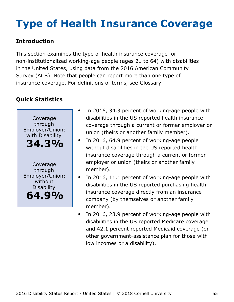# <span id="page-55-0"></span>**Type of Health Insurance Coverage**

### **Introduction**

This section examines the type of health insurance coverage for non-institutionalized working-age people (ages 21 to 64) with disabilities in the United States, using data from the 2016 American Community Survey (ACS). Note that people can report more than one type of insurance coverage. For definitions of terms, see Glossary.



- In 2016, 34.3 percent of working-age people with disabilities in the US reported health insurance coverage through a current or former employer or union (theirs or another family member).
- In 2016, 64.9 percent of working-age people  $\bullet$ without disabilities in the US reported health insurance coverage through a current or former employer or union (theirs or another family member).
- In 2016, 11.1 percent of working-age people with disabilities in the US reported purchasing health insurance coverage directly from an insurance company (by themselves or another family member).
- In 2016, 23.9 percent of working-age people with  $\bullet$ disabilities in the US reported Medicare coverage and 42.1 percent reported Medicaid coverage (or other government-assistance plan for those with low incomes or a disability).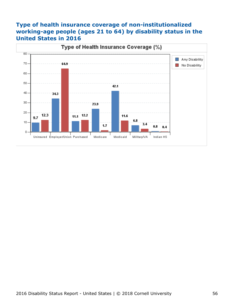#### **Type of health insurance coverage of non-institutionalized working-age people (ages 21 to 64) by disability status in the United States in 2016**

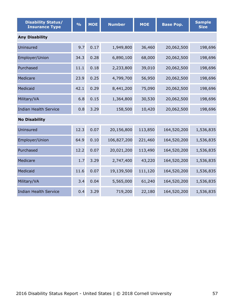| <b>Disability Status/</b><br><b>Insurance Type</b> | $\frac{1}{2}$ | <b>MOE</b> | <b>Number</b> | <b>MOE</b> | <b>Base Pop.</b> | <b>Sample</b><br><b>Size</b> |  |  |  |  |
|----------------------------------------------------|---------------|------------|---------------|------------|------------------|------------------------------|--|--|--|--|
| <b>Any Disability</b>                              |               |            |               |            |                  |                              |  |  |  |  |
| Uninsured                                          | 9.7           | 0.17       | 1,949,800     | 36,460     | 20,062,500       | 198,696                      |  |  |  |  |
| Employer/Union                                     | 34.3          | 0.28       | 6,890,100     | 68,000     | 20,062,500       | 198,696                      |  |  |  |  |
| Purchased                                          | 11.1          | 0.18       | 2,233,800     | 39,010     | 20,062,500       | 198,696                      |  |  |  |  |
| Medicare                                           | 23.9          | 0.25       | 4,799,700     | 56,950     | 20,062,500       | 198,696                      |  |  |  |  |
| Medicaid                                           | 42.1          | 0.29       | 8,441,200     | 75,090     | 20,062,500       | 198,696                      |  |  |  |  |
| Military/VA                                        | 6.8           | 0.15       | 1,364,800     | 30,530     | 20,062,500       | 198,696                      |  |  |  |  |
| <b>Indian Health Service</b>                       | 0.8           | 3.29       | 158,500       | 10,420     | 20,062,500       | 198,696                      |  |  |  |  |
| <b>No Disability</b>                               |               |            |               |            |                  |                              |  |  |  |  |
| Uninsured                                          | 12.3          | 0.07       | 20,156,800    | 113,850    | 164,520,200      | 1,536,835                    |  |  |  |  |
| Employer/Union                                     | 64.9          | 0.10       | 106,827,200   | 221,460    | 164,520,200      | 1,536,835                    |  |  |  |  |
| Purchased                                          | 12.2          | 0.07       | 20,021,200    | 113,490    | 164,520,200      | 1,536,835                    |  |  |  |  |
| Medicare                                           | 1.7           | 3.29       | 2,747,400     | 43,220     | 164,520,200      | 1,536,835                    |  |  |  |  |
| Medicaid                                           | 11.6          | 0.07       | 19,139,500    | 111,120    | 164,520,200      | 1,536,835                    |  |  |  |  |
| Military/VA                                        | 3.4           | 0.04       | 5,565,000     | 61,240     | 164,520,200      | 1,536,835                    |  |  |  |  |
| <b>Indian Health Service</b>                       | 0.4           | 3.29       | 719,200       | 22,180     | 164,520,200      | 1,536,835                    |  |  |  |  |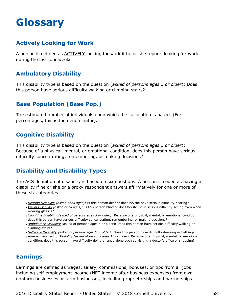## <span id="page-58-0"></span>**Glossary**

#### **Actively Looking for Work**

A person is defined as ACTIVELY looking for work if he or she reports looking for work during the last four weeks.

#### **Ambulatory Disability**

This disability type is based on the question (*asked of persons ages 5 or older*): Does this person have serious difficulty walking or climbing stairs?

#### **Base Population (Base Pop.)**

The estimated number of individuals upon which the calculation is based. (For percentages, this is the denominator).

#### **Cognitive Disability**

This disability type is based on the question (*asked of persons ages 5 or older*): Because of a physical, mental, or emotional condition, does this person have serious difficulty concentrating, remembering, or making decisions?

### **Disability and Disability Types**

The ACS definition of disability is based on six questions. A person is coded as having a disability if he or she or a proxy respondent answers affirmatively for one or more of these six categories.

- *Hearing Disability (asked of all ages):* Is this person deaf or does he/she have serious difficulty hearing?
- *Visual Disability (asked of all ages)*: Is this person blind or does he/she have serious difficulty seeing even when wearing glasses?
- *Cognitive Disability (asked of persons ages 5 or older)*: Because of a physical, mental, or emotional condition, does this person have serious difficulty concentrating, remembering, or making decisions?
- *Ambulatory Disability* (asked of persons ages 5 or older): Does this person have serious difficulty walking or climbing stairs?
- *Self-care Disability (asked of persons ages 5 or older)*: Does this person have difficulty dressing or bathing?
- *Independent Living Disability (asked of persons ages 15 or older):* Because of a physical, mental, or emotional condition, does this person have difficulty doing errands alone such as visiting a doctor's office or shopping?

#### **Earnings**

Earnings are defined as wages, salary, commissions, bonuses, or tips from all jobs including self-employment income (NET income after business expenses) from own nonfarm businesses or farm businesses, including proprietorships and partnerships.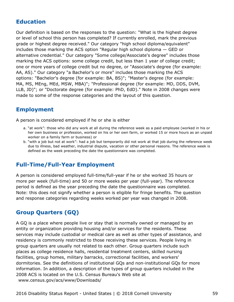#### **Education**

Our definition is based on the responses to the question: "What is the highest degree or level of school this person has completed? If currently enrolled, mark the previous grade or highest degree received." Our category "high school diploma/equivalent" includes those marking the ACS option "Regular high school diploma — GED or alternative credential." Our category "Some college/Associate's degree" includes those marking the ACS options: some college credit, but less than 1 year of college credit; one or more years of college credit but no degree, or "Associate's degree (for example: AA, AS)." Our category "a Bachelor's or more" includes those marking the ACS options: "Bachelor's degree (for example: BA, BS)"; "Master's degree (for example: MA, MS, MEng, MEd, MSW, MBA)"; "Professional degree (for example: MD, DDS, DVM, LLB, JD)"; or "Doctorate degree (for example: PhD, EdD)." Note in 2008 changes were made to some of the response categories and the layout of this question.

#### **Employment**

A person is considered employed if he or she is either

- a. "at work": those who did any work at all during the reference week as a paid employee (worked in his or her own business or profession, worked on his or her own farm, or worked 15 or more hours as an unpaid worker on a family farm or business) or
- b. "with a job but not at work": had a job but temporarily did not work at that job during the reference week due to illness, bad weather, industrial dispute, vacation or other personal reasons. The reference week is defined as the week preceding the date the questionnaire was completed.

#### **Full-Time/Full-Year Employment**

A person is considered employed full-time/full-year if he or she worked 35 hours or more per week (full-time) and 50 or more weeks per year (full-year). The reference period is defined as the year preceding the date the questionnaire was completed. Note: this does not signify whether a person is eligible for fringe benefits. The question and response categories regarding weeks worked per year was changed in 2008.

#### **Group Quarters (GQ)**

A GQ is a place where people live or stay that is normally owned or managed by an entity or organization providing housing and/or services for the residents. These services may include custodial or medical care as well as other types of assistance, and residency is commonly restricted to those receiving these services. People living in group quarters are usually not related to each other. Group quarters include such places as college residence halls, residential treatment centers, skilled nursing facilities, group homes, military barracks, correctional facilities, and workers' dormitories. See the definitions of institutional GQs and non-institutional GQs for more information. In addition, a description of the types of group quarters included in the 2008 ACS is located on the U.S. Census Bureau's Web site at [www.census.gov/acs/www/Downloads/](http://www.census.gov/acs/www/Downloads/2008_ACS_GQ_Definitions.pdf)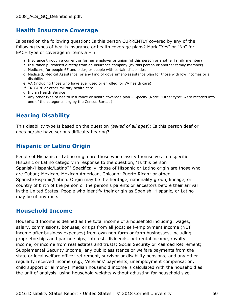#### **Health Insurance Coverage**

Is based on the following question: Is this person CURRENTLY covered by any of the following types of health insurance or health coverage plans? Mark "Yes" or "No" for EACH type of coverage in items a – h.

- a. Insurance through a current or former employer or union (of this person or another family member)
- b. Insurance purchased directly from an insurance company (by this person or another family member)
- c. Medicare, for people 65 and older, or people with certain disabilities
- d. Medicaid, Medical Assistance, or any kind of government-assistance plan for those with low incomes or a disability
- e. VA (including those who have ever used or enrolled for VA health care)
- f. TRICARE or other military health care
- g. Indian Health Service
- h. Any other type of health insurance or health coverage plan Specify (Note: "Other type" were recoded into one of the categories a-g by the Census Bureau)

#### **Hearing Disability**

This disability type is based on the question *(asked of all ages)*: Is this person deaf or does he/she have serious difficulty hearing?

#### **Hispanic or Latino Origin**

People of Hispanic or Latino origin are those who classify themselves in a specific Hispanic or Latino category in response to the question, "Is this person Spanish/Hispanic/Latino?" Specifically, those of Hispanic or Latino origin are those who are Cuban; Mexican, Mexican American, Chicano; Puerto Rican; or other Spanish/Hispanic/Latino. Origin may be the heritage, nationality group, lineage, or country of birth of the person or the person's parents or ancestors before their arrival in the United States. People who identify their origin as Spanish, Hispanic, or Latino may be of any race.

#### **Household Income**

Household Income is defined as the total income of a household including: wages, salary, commissions, bonuses, or tips from all jobs; self-employment income (NET income after business expenses) from own non-farm or farm businesses, including proprietorships and partnerships; interest, dividends, net rental income, royalty income, or income from real estates and trusts; Social Security or Railroad Retirement; Supplemental Security Income; any public assistance or welfare payments from the state or local welfare office; retirement, survivor or disability pensions; and any other regularly received income (e.g., Veterans' payments, unemployment compensation, child support or alimony). Median household income is calculated with the household as the unit of analysis, using household weights without adjusting for household size.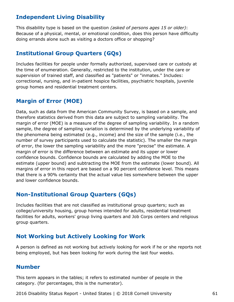#### **Independent Living Disability**

This disability type is based on the question *(asked of persons ages 15 or older)*: Because of a physical, mental, or emotional condition, does this person have difficulty doing errands alone such as visiting a doctors office or shopping?

#### **Institutional Group Quarters (GQs)**

Includes facilities for people under formally authorized, supervised care or custody at the time of enumeration. Generally, restricted to the institution, under the care or supervision of trained staff, and classified as "patients" or "inmates." Includes: correctional, nursing, and in-patient hospice facilities, psychiatric hospitals, juvenile group homes and residential treatment centers.

#### **Margin of Error (MOE)**

Data, such as data from the American Community Survey, is based on a sample, and therefore statistics derived from this data are subject to sampling variability. The margin of error (MOE) is a measure of the degree of sampling variability. In a random sample, the degree of sampling variation is determined by the underlying variability of the phenomena being estimated (e.g., income) and the size of the sample (i.e., the number of survey participants used to calculate the statistic). The smaller the margin of error, the lower the sampling variability and the more "precise" the estimate. A margin of error is the difference between an estimate and its upper or lower confidence bounds. Confidence bounds are calculated by adding the MOE to the estimate (upper bound) and subtracting the MOE from the estimate (lower bound). All margins of error in this report are based on a 90 percent confidence level. This means that there is a 90% certainty that the actual value lies somewhere between the upper and lower confidence bounds.

#### **Non-Institutional Group Quarters (GQs)**

Includes facilities that are not classified as institutional group quarters; such as college/university housing, group homes intended for adults, residential treatment facilities for adults, workers' group living quarters and Job Corps centers and religious group quarters.

#### **Not Working but Actively Looking for Work**

A person is defined as not working but actively looking for work if he or she reports not being employed, but has been looking for work during the last four weeks.

#### **Number**

This term appears in the tables; it refers to estimated number of people in the category. (for percentages, this is the numerator).

2016 Disability Status Report - United States | © 2018 Cornell University 61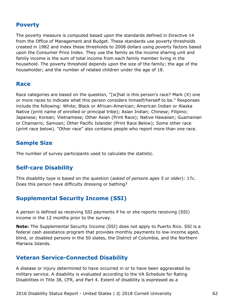#### **Poverty**

The poverty measure is computed based upon the standards defined in Directive 14 from the Office of Management and Budget. These standards use poverty thresholds created in 1982 and index these thresholds to 2008 dollars using poverty factors based upon the Consumer Price Index. They use the family as the income sharing unit and family income is the sum of total income from each family member living in the household. The poverty threshold depends upon the size of the family; the age of the householder; and the number of related children under the age of 18.

#### **Race**

Race categories are based on the question, "[w]hat is this person's race? Mark (X) one or more races to indicate what this person considers himself/herself to be." Responses include the following: White; Black or African-American; American Indian or Alaska Native (print name of enrolled or principal tribe); Asian Indian; Chinese; Filipino; Japanese; Korean; Vietnamese; Other Asian (Print Race); Native Hawaiian; Guamanian or Chamarro; Samoan; Other Pacific Islander (Print Race Below); Some other race (print race below). "Other race" also contains people who report more than one race.

#### **Sample Size**

The number of survey participants used to calculate the statistic.

#### **Self-care Disability**

This disability type is based on the question (*asked of persons ages 5 or older*): 17c. Does this person have difficulty dressing or bathing?

#### **Supplemental Security Income (SSI)**

A person is defined as receiving SSI payments if he or she reports receiving (SSI) income in the 12 months prior to the survey.

**Note:** The Supplemental Security Income (SSI) does not apply to Puerto Rico. SSI is a federal cash assistance program that provides monthly payments to low-income aged, blind, or disabled persons in the 50 states, the District of Columbia, and the Northern Mariana Islands.

#### **Veteran Service-Connected Disability**

A disease or injury determined to have occurred in or to have been aggravated by military service. A disability is evaluated according to the VA Schedule for Rating Disabilities in Title 38, CFR, and Part 4. Extent of disability is expressed as a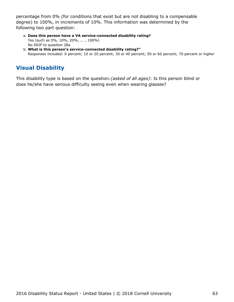percentage from 0% (for conditions that exist but are not disabling to a compensable degree) to 100%, in increments of 10%. This information was determined by the following two part question:

- **Does this person have a VA service-connected disability rating?** a. Yes (such as 0%, 10%, 20%, ... , 100%) No *SKIP* to question 28a
- **What is this person's service-connected disability rating?"** b. Responses included: 0 percent; 10 or 20 percent; 30 or 40 percent; 50 or 60 percent; 70 percent or higher

## **Visual Disability**

This disability type is based on the question:*(asked of all ages)*: Is this person blind or does he/she have serious difficulty seeing even when wearing glasses?